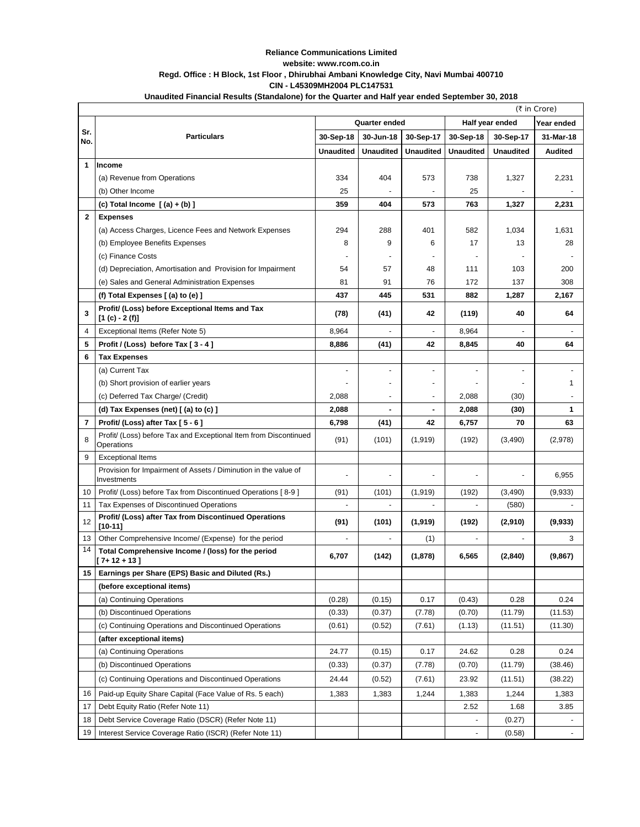## **Reliance Communications Limited website: www.rcom.co.in Regd. Office : H Block, 1st Floor , Dhirubhai Ambani Knowledge City, Navi Mumbai 400710 CIN - L45309MH2004 PLC147531**

|              | Unaudited Financial Results (Standalone) for the Quarter and Half year ended September 30, 2018 |                  |                          |                          |                  |                  |                |
|--------------|-------------------------------------------------------------------------------------------------|------------------|--------------------------|--------------------------|------------------|------------------|----------------|
|              | (₹ in Crore)                                                                                    |                  |                          |                          |                  |                  |                |
|              |                                                                                                 | Quarter ended    |                          |                          | Half year ended  |                  | Year ended     |
| Sr.<br>No.   | <b>Particulars</b>                                                                              | 30-Sep-18        | 30-Jun-18                | 30-Sep-17                | 30-Sep-18        | 30-Sep-17        | 31-Mar-18      |
|              |                                                                                                 | <b>Unaudited</b> | <b>Unaudited</b>         | <b>Unaudited</b>         | <b>Unaudited</b> | <b>Unaudited</b> | <b>Audited</b> |
| 1            | Income                                                                                          |                  |                          |                          |                  |                  |                |
|              | (a) Revenue from Operations                                                                     | 334              | 404                      | 573                      | 738              | 1,327            | 2,231          |
|              | (b) Other Income                                                                                | 25               |                          |                          | 25               |                  |                |
|              | (c) Total Income $[(a) + (b)]$                                                                  | 359              | 404                      | 573                      | 763              | 1,327            | 2,231          |
| $\mathbf{2}$ | <b>Expenses</b>                                                                                 |                  |                          |                          |                  |                  |                |
|              | (a) Access Charges, Licence Fees and Network Expenses                                           | 294              | 288                      | 401                      | 582              | 1,034            | 1,631          |
|              | (b) Employee Benefits Expenses                                                                  | 8                | 9                        | 6                        | 17               | 13               | 28             |
|              | (c) Finance Costs                                                                               |                  |                          |                          |                  |                  |                |
|              | (d) Depreciation, Amortisation and Provision for Impairment                                     | 54               | 57                       | 48                       | 111              | 103              | 200            |
|              | (e) Sales and General Administration Expenses                                                   | 81               | 91                       | 76                       | 172              | 137              | 308            |
|              | (f) Total Expenses [(a) to (e) ]                                                                | 437              | 445                      | 531                      | 882              | 1,287            | 2,167          |
| 3            | Profit/ (Loss) before Exceptional Items and Tax<br>$[1 (c) - 2 (f)]$                            | (78)             | (41)                     | 42                       | (119)            | 40               | 64             |
| 4            | Exceptional Items (Refer Note 5)                                                                | 8,964            |                          |                          | 8,964            |                  |                |
| 5            | Profit / (Loss) before Tax [3 - 4]                                                              | 8,886            | (41)                     | 42                       | 8,845            | 40               | 64             |
| 6            | <b>Tax Expenses</b>                                                                             |                  |                          |                          |                  |                  |                |
|              | (a) Current Tax                                                                                 |                  | $\overline{\phantom{a}}$ |                          |                  |                  |                |
|              | (b) Short provision of earlier years                                                            |                  |                          |                          |                  |                  | 1.             |
|              | (c) Deferred Tax Charge/ (Credit)                                                               | 2,088            |                          | $\overline{\phantom{a}}$ | 2,088            | (30)             |                |
|              | (d) Tax Expenses (net) $[$ (a) to (c) $]$                                                       | 2,088            | ٠                        | $\overline{\phantom{a}}$ | 2,088            | (30)             | 1              |
| 7            | Profit/ (Loss) after Tax [5 - 6]                                                                | 6,798            | (41)                     | 42                       | 6,757            | 70               | 63             |
| 8            | Profit/ (Loss) before Tax and Exceptional Item from Discontinued<br>Operations                  | (91)             | (101)                    | (1, 919)                 | (192)            | (3,490)          | (2,978)        |
| 9            | <b>Exceptional Items</b>                                                                        |                  |                          |                          |                  |                  |                |
|              | Provision for Impairment of Assets / Diminution in the value of<br>Investments                  |                  |                          |                          |                  |                  | 6,955          |
| 10           | Profit/ (Loss) before Tax from Discontinued Operations [8-9]                                    | (91)             | (101)                    | (1, 919)                 | (192)            | (3,490)          | (9,933)        |
| 11           | Tax Expenses of Discontinued Operations                                                         |                  | $\overline{\phantom{a}}$ |                          |                  | (580)            |                |
| 12           | Profit/ (Loss) after Tax from Discontinued Operations<br>$[10 - 11]$                            | (91)             | (101)                    | (1,919)                  | (192)            | (2,910)          | (9,933)        |
| 13           | Other Comprehensive Income/ (Expense) for the period                                            |                  |                          | (1)                      |                  |                  | 3              |
| 14           | Total Comprehensive Income / (loss) for the period<br>[ 7+ 12 + 13 ]                            | 6,707            | (142)                    | (1, 878)                 | 6,565            | (2, 840)         | (9,867)        |
| 15           | Earnings per Share (EPS) Basic and Diluted (Rs.)                                                |                  |                          |                          |                  |                  |                |
|              | (before exceptional items)                                                                      |                  |                          |                          |                  |                  |                |
|              | (a) Continuing Operations                                                                       | (0.28)           | (0.15)                   | 0.17                     | (0.43)           | 0.28             | 0.24           |
|              | (b) Discontinued Operations                                                                     | (0.33)           | (0.37)                   | (7.78)                   | (0.70)           | (11.79)          | (11.53)        |
|              | (c) Continuing Operations and Discontinued Operations                                           | (0.61)           | (0.52)                   | (7.61)                   | (1.13)           | (11.51)          | (11.30)        |
|              | (after exceptional items)                                                                       |                  |                          |                          |                  |                  |                |
|              | (a) Continuing Operations                                                                       | 24.77            | (0.15)                   | 0.17                     | 24.62            | 0.28             | 0.24           |
|              | (b) Discontinued Operations                                                                     | (0.33)           | (0.37)                   | (7.78)                   | (0.70)           | (11.79)          | (38.46)        |
|              | (c) Continuing Operations and Discontinued Operations                                           | 24.44            | (0.52)                   | (7.61)                   | 23.92            | (11.51)          | (38.22)        |
| 16           | Paid-up Equity Share Capital (Face Value of Rs. 5 each)                                         | 1,383            | 1,383                    | 1,244                    | 1,383            | 1,244            | 1,383          |
| 17           | Debt Equity Ratio (Refer Note 11)                                                               |                  |                          |                          | 2.52             | 1.68             | 3.85           |
| 18           | Debt Service Coverage Ratio (DSCR) (Refer Note 11)                                              |                  |                          |                          |                  | (0.27)           |                |

19 Interest Service Coverage Ratio (ISCR) (Refer Note 11)  $(0.58)$  (0.58)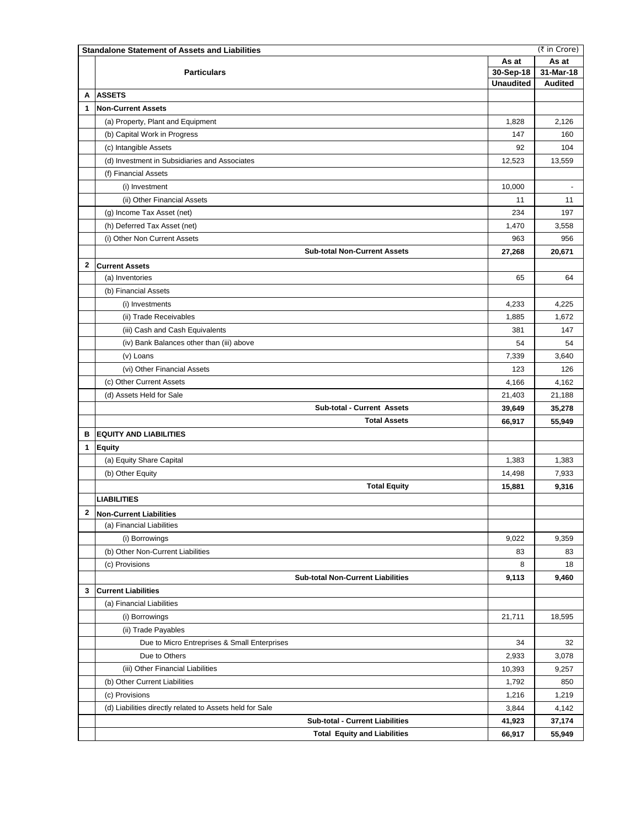| As at<br>As at<br>31-Mar-18<br>30-Sep-18<br><b>Particulars</b><br><b>Unaudited</b><br><b>Audited</b><br><b>ASSETS</b><br>А<br>1<br><b>Non-Current Assets</b><br>(a) Property, Plant and Equipment<br>2,126<br>1,828<br>(b) Capital Work in Progress<br>147<br>160<br>104<br>(c) Intangible Assets<br>92<br>(d) Investment in Subsidiaries and Associates<br>12,523<br>13,559<br>(f) Financial Assets<br>10,000<br>(i) Investment<br>(ii) Other Financial Assets<br>11<br>11<br>(g) Income Tax Asset (net)<br>234<br>197<br>(h) Deferred Tax Asset (net)<br>1,470<br>3,558<br>(i) Other Non Current Assets<br>956<br>963<br><b>Sub-total Non-Current Assets</b><br>27,268<br>20,671<br>2<br><b>Current Assets</b><br>(a) Inventories<br>65<br>64<br>(b) Financial Assets<br>4,225<br>(i) Investments<br>4,233<br>1,672<br>(ii) Trade Receivables<br>1,885<br>(iii) Cash and Cash Equivalents<br>381<br>147<br>(iv) Bank Balances other than (iii) above<br>54<br>54<br>3,640<br>(v) Loans<br>7,339<br>(vi) Other Financial Assets<br>123<br>126<br>(c) Other Current Assets<br>4,166<br>4,162<br>(d) Assets Held for Sale<br>21,403<br>21,188<br>Sub-total - Current Assets<br>39,649<br>35,278<br><b>Total Assets</b><br>55,949<br>66,917<br>в<br><b>EQUITY AND LIABILITIES</b><br><b>Equity</b><br>1<br>(a) Equity Share Capital<br>1,383<br>1,383<br>(b) Other Equity<br>14,498<br>7,933<br><b>Total Equity</b><br>9,316<br>15,881<br><b>LIABILITIES</b><br>$\mathbf{2}$<br><b>Non-Current Liabilities</b><br>(a) Financial Liabilities<br>(i) Borrowings<br>9,022<br>9,359<br>(b) Other Non-Current Liabilities<br>83<br>83<br>(c) Provisions<br>8<br>18<br><b>Sub-total Non-Current Liabilities</b><br>9,113<br>9,460<br>3<br><b>Current Liabilities</b><br>(a) Financial Liabilities<br>(i) Borrowings<br>18,595<br>21,711<br>(ii) Trade Payables<br>Due to Micro Entreprises & Small Enterprises<br>34<br>32<br>Due to Others<br>3,078<br>2,933<br>(iii) Other Financial Liabilities<br>10,393<br>9,257<br>(b) Other Current Liabilities<br>1,792<br>850<br>(c) Provisions<br>1,216<br>1,219<br>(d) Liabilities directly related to Assets held for Sale<br>3,844<br>4,142<br><b>Sub-total - Current Liabilities</b><br>41,923<br>37,174<br><b>Total Equity and Liabilities</b><br>66,917<br>55,949 | (₹ in Crore)<br><b>Standalone Statement of Assets and Liabilities</b> |  |  |  |  |  |
|-----------------------------------------------------------------------------------------------------------------------------------------------------------------------------------------------------------------------------------------------------------------------------------------------------------------------------------------------------------------------------------------------------------------------------------------------------------------------------------------------------------------------------------------------------------------------------------------------------------------------------------------------------------------------------------------------------------------------------------------------------------------------------------------------------------------------------------------------------------------------------------------------------------------------------------------------------------------------------------------------------------------------------------------------------------------------------------------------------------------------------------------------------------------------------------------------------------------------------------------------------------------------------------------------------------------------------------------------------------------------------------------------------------------------------------------------------------------------------------------------------------------------------------------------------------------------------------------------------------------------------------------------------------------------------------------------------------------------------------------------------------------------------------------------------------------------------------------------------------------------------------------------------------------------------------------------------------------------------------------------------------------------------------------------------------------------------------------------------------------------------------------------------------------------------------------------------------------------------------------------------------------------------------------------------------|-----------------------------------------------------------------------|--|--|--|--|--|
|                                                                                                                                                                                                                                                                                                                                                                                                                                                                                                                                                                                                                                                                                                                                                                                                                                                                                                                                                                                                                                                                                                                                                                                                                                                                                                                                                                                                                                                                                                                                                                                                                                                                                                                                                                                                                                                                                                                                                                                                                                                                                                                                                                                                                                                                                                           |                                                                       |  |  |  |  |  |
|                                                                                                                                                                                                                                                                                                                                                                                                                                                                                                                                                                                                                                                                                                                                                                                                                                                                                                                                                                                                                                                                                                                                                                                                                                                                                                                                                                                                                                                                                                                                                                                                                                                                                                                                                                                                                                                                                                                                                                                                                                                                                                                                                                                                                                                                                                           |                                                                       |  |  |  |  |  |
|                                                                                                                                                                                                                                                                                                                                                                                                                                                                                                                                                                                                                                                                                                                                                                                                                                                                                                                                                                                                                                                                                                                                                                                                                                                                                                                                                                                                                                                                                                                                                                                                                                                                                                                                                                                                                                                                                                                                                                                                                                                                                                                                                                                                                                                                                                           |                                                                       |  |  |  |  |  |
|                                                                                                                                                                                                                                                                                                                                                                                                                                                                                                                                                                                                                                                                                                                                                                                                                                                                                                                                                                                                                                                                                                                                                                                                                                                                                                                                                                                                                                                                                                                                                                                                                                                                                                                                                                                                                                                                                                                                                                                                                                                                                                                                                                                                                                                                                                           |                                                                       |  |  |  |  |  |
|                                                                                                                                                                                                                                                                                                                                                                                                                                                                                                                                                                                                                                                                                                                                                                                                                                                                                                                                                                                                                                                                                                                                                                                                                                                                                                                                                                                                                                                                                                                                                                                                                                                                                                                                                                                                                                                                                                                                                                                                                                                                                                                                                                                                                                                                                                           |                                                                       |  |  |  |  |  |
|                                                                                                                                                                                                                                                                                                                                                                                                                                                                                                                                                                                                                                                                                                                                                                                                                                                                                                                                                                                                                                                                                                                                                                                                                                                                                                                                                                                                                                                                                                                                                                                                                                                                                                                                                                                                                                                                                                                                                                                                                                                                                                                                                                                                                                                                                                           |                                                                       |  |  |  |  |  |
|                                                                                                                                                                                                                                                                                                                                                                                                                                                                                                                                                                                                                                                                                                                                                                                                                                                                                                                                                                                                                                                                                                                                                                                                                                                                                                                                                                                                                                                                                                                                                                                                                                                                                                                                                                                                                                                                                                                                                                                                                                                                                                                                                                                                                                                                                                           |                                                                       |  |  |  |  |  |
|                                                                                                                                                                                                                                                                                                                                                                                                                                                                                                                                                                                                                                                                                                                                                                                                                                                                                                                                                                                                                                                                                                                                                                                                                                                                                                                                                                                                                                                                                                                                                                                                                                                                                                                                                                                                                                                                                                                                                                                                                                                                                                                                                                                                                                                                                                           |                                                                       |  |  |  |  |  |
|                                                                                                                                                                                                                                                                                                                                                                                                                                                                                                                                                                                                                                                                                                                                                                                                                                                                                                                                                                                                                                                                                                                                                                                                                                                                                                                                                                                                                                                                                                                                                                                                                                                                                                                                                                                                                                                                                                                                                                                                                                                                                                                                                                                                                                                                                                           |                                                                       |  |  |  |  |  |
|                                                                                                                                                                                                                                                                                                                                                                                                                                                                                                                                                                                                                                                                                                                                                                                                                                                                                                                                                                                                                                                                                                                                                                                                                                                                                                                                                                                                                                                                                                                                                                                                                                                                                                                                                                                                                                                                                                                                                                                                                                                                                                                                                                                                                                                                                                           |                                                                       |  |  |  |  |  |
|                                                                                                                                                                                                                                                                                                                                                                                                                                                                                                                                                                                                                                                                                                                                                                                                                                                                                                                                                                                                                                                                                                                                                                                                                                                                                                                                                                                                                                                                                                                                                                                                                                                                                                                                                                                                                                                                                                                                                                                                                                                                                                                                                                                                                                                                                                           |                                                                       |  |  |  |  |  |
|                                                                                                                                                                                                                                                                                                                                                                                                                                                                                                                                                                                                                                                                                                                                                                                                                                                                                                                                                                                                                                                                                                                                                                                                                                                                                                                                                                                                                                                                                                                                                                                                                                                                                                                                                                                                                                                                                                                                                                                                                                                                                                                                                                                                                                                                                                           |                                                                       |  |  |  |  |  |
|                                                                                                                                                                                                                                                                                                                                                                                                                                                                                                                                                                                                                                                                                                                                                                                                                                                                                                                                                                                                                                                                                                                                                                                                                                                                                                                                                                                                                                                                                                                                                                                                                                                                                                                                                                                                                                                                                                                                                                                                                                                                                                                                                                                                                                                                                                           |                                                                       |  |  |  |  |  |
|                                                                                                                                                                                                                                                                                                                                                                                                                                                                                                                                                                                                                                                                                                                                                                                                                                                                                                                                                                                                                                                                                                                                                                                                                                                                                                                                                                                                                                                                                                                                                                                                                                                                                                                                                                                                                                                                                                                                                                                                                                                                                                                                                                                                                                                                                                           |                                                                       |  |  |  |  |  |
|                                                                                                                                                                                                                                                                                                                                                                                                                                                                                                                                                                                                                                                                                                                                                                                                                                                                                                                                                                                                                                                                                                                                                                                                                                                                                                                                                                                                                                                                                                                                                                                                                                                                                                                                                                                                                                                                                                                                                                                                                                                                                                                                                                                                                                                                                                           |                                                                       |  |  |  |  |  |
|                                                                                                                                                                                                                                                                                                                                                                                                                                                                                                                                                                                                                                                                                                                                                                                                                                                                                                                                                                                                                                                                                                                                                                                                                                                                                                                                                                                                                                                                                                                                                                                                                                                                                                                                                                                                                                                                                                                                                                                                                                                                                                                                                                                                                                                                                                           |                                                                       |  |  |  |  |  |
|                                                                                                                                                                                                                                                                                                                                                                                                                                                                                                                                                                                                                                                                                                                                                                                                                                                                                                                                                                                                                                                                                                                                                                                                                                                                                                                                                                                                                                                                                                                                                                                                                                                                                                                                                                                                                                                                                                                                                                                                                                                                                                                                                                                                                                                                                                           |                                                                       |  |  |  |  |  |
|                                                                                                                                                                                                                                                                                                                                                                                                                                                                                                                                                                                                                                                                                                                                                                                                                                                                                                                                                                                                                                                                                                                                                                                                                                                                                                                                                                                                                                                                                                                                                                                                                                                                                                                                                                                                                                                                                                                                                                                                                                                                                                                                                                                                                                                                                                           |                                                                       |  |  |  |  |  |
|                                                                                                                                                                                                                                                                                                                                                                                                                                                                                                                                                                                                                                                                                                                                                                                                                                                                                                                                                                                                                                                                                                                                                                                                                                                                                                                                                                                                                                                                                                                                                                                                                                                                                                                                                                                                                                                                                                                                                                                                                                                                                                                                                                                                                                                                                                           |                                                                       |  |  |  |  |  |
|                                                                                                                                                                                                                                                                                                                                                                                                                                                                                                                                                                                                                                                                                                                                                                                                                                                                                                                                                                                                                                                                                                                                                                                                                                                                                                                                                                                                                                                                                                                                                                                                                                                                                                                                                                                                                                                                                                                                                                                                                                                                                                                                                                                                                                                                                                           |                                                                       |  |  |  |  |  |
|                                                                                                                                                                                                                                                                                                                                                                                                                                                                                                                                                                                                                                                                                                                                                                                                                                                                                                                                                                                                                                                                                                                                                                                                                                                                                                                                                                                                                                                                                                                                                                                                                                                                                                                                                                                                                                                                                                                                                                                                                                                                                                                                                                                                                                                                                                           |                                                                       |  |  |  |  |  |
|                                                                                                                                                                                                                                                                                                                                                                                                                                                                                                                                                                                                                                                                                                                                                                                                                                                                                                                                                                                                                                                                                                                                                                                                                                                                                                                                                                                                                                                                                                                                                                                                                                                                                                                                                                                                                                                                                                                                                                                                                                                                                                                                                                                                                                                                                                           |                                                                       |  |  |  |  |  |
|                                                                                                                                                                                                                                                                                                                                                                                                                                                                                                                                                                                                                                                                                                                                                                                                                                                                                                                                                                                                                                                                                                                                                                                                                                                                                                                                                                                                                                                                                                                                                                                                                                                                                                                                                                                                                                                                                                                                                                                                                                                                                                                                                                                                                                                                                                           |                                                                       |  |  |  |  |  |
|                                                                                                                                                                                                                                                                                                                                                                                                                                                                                                                                                                                                                                                                                                                                                                                                                                                                                                                                                                                                                                                                                                                                                                                                                                                                                                                                                                                                                                                                                                                                                                                                                                                                                                                                                                                                                                                                                                                                                                                                                                                                                                                                                                                                                                                                                                           |                                                                       |  |  |  |  |  |
|                                                                                                                                                                                                                                                                                                                                                                                                                                                                                                                                                                                                                                                                                                                                                                                                                                                                                                                                                                                                                                                                                                                                                                                                                                                                                                                                                                                                                                                                                                                                                                                                                                                                                                                                                                                                                                                                                                                                                                                                                                                                                                                                                                                                                                                                                                           |                                                                       |  |  |  |  |  |
|                                                                                                                                                                                                                                                                                                                                                                                                                                                                                                                                                                                                                                                                                                                                                                                                                                                                                                                                                                                                                                                                                                                                                                                                                                                                                                                                                                                                                                                                                                                                                                                                                                                                                                                                                                                                                                                                                                                                                                                                                                                                                                                                                                                                                                                                                                           |                                                                       |  |  |  |  |  |
|                                                                                                                                                                                                                                                                                                                                                                                                                                                                                                                                                                                                                                                                                                                                                                                                                                                                                                                                                                                                                                                                                                                                                                                                                                                                                                                                                                                                                                                                                                                                                                                                                                                                                                                                                                                                                                                                                                                                                                                                                                                                                                                                                                                                                                                                                                           |                                                                       |  |  |  |  |  |
|                                                                                                                                                                                                                                                                                                                                                                                                                                                                                                                                                                                                                                                                                                                                                                                                                                                                                                                                                                                                                                                                                                                                                                                                                                                                                                                                                                                                                                                                                                                                                                                                                                                                                                                                                                                                                                                                                                                                                                                                                                                                                                                                                                                                                                                                                                           |                                                                       |  |  |  |  |  |
|                                                                                                                                                                                                                                                                                                                                                                                                                                                                                                                                                                                                                                                                                                                                                                                                                                                                                                                                                                                                                                                                                                                                                                                                                                                                                                                                                                                                                                                                                                                                                                                                                                                                                                                                                                                                                                                                                                                                                                                                                                                                                                                                                                                                                                                                                                           |                                                                       |  |  |  |  |  |
|                                                                                                                                                                                                                                                                                                                                                                                                                                                                                                                                                                                                                                                                                                                                                                                                                                                                                                                                                                                                                                                                                                                                                                                                                                                                                                                                                                                                                                                                                                                                                                                                                                                                                                                                                                                                                                                                                                                                                                                                                                                                                                                                                                                                                                                                                                           |                                                                       |  |  |  |  |  |
|                                                                                                                                                                                                                                                                                                                                                                                                                                                                                                                                                                                                                                                                                                                                                                                                                                                                                                                                                                                                                                                                                                                                                                                                                                                                                                                                                                                                                                                                                                                                                                                                                                                                                                                                                                                                                                                                                                                                                                                                                                                                                                                                                                                                                                                                                                           |                                                                       |  |  |  |  |  |
|                                                                                                                                                                                                                                                                                                                                                                                                                                                                                                                                                                                                                                                                                                                                                                                                                                                                                                                                                                                                                                                                                                                                                                                                                                                                                                                                                                                                                                                                                                                                                                                                                                                                                                                                                                                                                                                                                                                                                                                                                                                                                                                                                                                                                                                                                                           |                                                                       |  |  |  |  |  |
|                                                                                                                                                                                                                                                                                                                                                                                                                                                                                                                                                                                                                                                                                                                                                                                                                                                                                                                                                                                                                                                                                                                                                                                                                                                                                                                                                                                                                                                                                                                                                                                                                                                                                                                                                                                                                                                                                                                                                                                                                                                                                                                                                                                                                                                                                                           |                                                                       |  |  |  |  |  |
|                                                                                                                                                                                                                                                                                                                                                                                                                                                                                                                                                                                                                                                                                                                                                                                                                                                                                                                                                                                                                                                                                                                                                                                                                                                                                                                                                                                                                                                                                                                                                                                                                                                                                                                                                                                                                                                                                                                                                                                                                                                                                                                                                                                                                                                                                                           |                                                                       |  |  |  |  |  |
|                                                                                                                                                                                                                                                                                                                                                                                                                                                                                                                                                                                                                                                                                                                                                                                                                                                                                                                                                                                                                                                                                                                                                                                                                                                                                                                                                                                                                                                                                                                                                                                                                                                                                                                                                                                                                                                                                                                                                                                                                                                                                                                                                                                                                                                                                                           |                                                                       |  |  |  |  |  |
|                                                                                                                                                                                                                                                                                                                                                                                                                                                                                                                                                                                                                                                                                                                                                                                                                                                                                                                                                                                                                                                                                                                                                                                                                                                                                                                                                                                                                                                                                                                                                                                                                                                                                                                                                                                                                                                                                                                                                                                                                                                                                                                                                                                                                                                                                                           |                                                                       |  |  |  |  |  |
|                                                                                                                                                                                                                                                                                                                                                                                                                                                                                                                                                                                                                                                                                                                                                                                                                                                                                                                                                                                                                                                                                                                                                                                                                                                                                                                                                                                                                                                                                                                                                                                                                                                                                                                                                                                                                                                                                                                                                                                                                                                                                                                                                                                                                                                                                                           |                                                                       |  |  |  |  |  |
|                                                                                                                                                                                                                                                                                                                                                                                                                                                                                                                                                                                                                                                                                                                                                                                                                                                                                                                                                                                                                                                                                                                                                                                                                                                                                                                                                                                                                                                                                                                                                                                                                                                                                                                                                                                                                                                                                                                                                                                                                                                                                                                                                                                                                                                                                                           |                                                                       |  |  |  |  |  |
|                                                                                                                                                                                                                                                                                                                                                                                                                                                                                                                                                                                                                                                                                                                                                                                                                                                                                                                                                                                                                                                                                                                                                                                                                                                                                                                                                                                                                                                                                                                                                                                                                                                                                                                                                                                                                                                                                                                                                                                                                                                                                                                                                                                                                                                                                                           |                                                                       |  |  |  |  |  |
|                                                                                                                                                                                                                                                                                                                                                                                                                                                                                                                                                                                                                                                                                                                                                                                                                                                                                                                                                                                                                                                                                                                                                                                                                                                                                                                                                                                                                                                                                                                                                                                                                                                                                                                                                                                                                                                                                                                                                                                                                                                                                                                                                                                                                                                                                                           |                                                                       |  |  |  |  |  |
|                                                                                                                                                                                                                                                                                                                                                                                                                                                                                                                                                                                                                                                                                                                                                                                                                                                                                                                                                                                                                                                                                                                                                                                                                                                                                                                                                                                                                                                                                                                                                                                                                                                                                                                                                                                                                                                                                                                                                                                                                                                                                                                                                                                                                                                                                                           |                                                                       |  |  |  |  |  |
|                                                                                                                                                                                                                                                                                                                                                                                                                                                                                                                                                                                                                                                                                                                                                                                                                                                                                                                                                                                                                                                                                                                                                                                                                                                                                                                                                                                                                                                                                                                                                                                                                                                                                                                                                                                                                                                                                                                                                                                                                                                                                                                                                                                                                                                                                                           |                                                                       |  |  |  |  |  |
|                                                                                                                                                                                                                                                                                                                                                                                                                                                                                                                                                                                                                                                                                                                                                                                                                                                                                                                                                                                                                                                                                                                                                                                                                                                                                                                                                                                                                                                                                                                                                                                                                                                                                                                                                                                                                                                                                                                                                                                                                                                                                                                                                                                                                                                                                                           |                                                                       |  |  |  |  |  |
|                                                                                                                                                                                                                                                                                                                                                                                                                                                                                                                                                                                                                                                                                                                                                                                                                                                                                                                                                                                                                                                                                                                                                                                                                                                                                                                                                                                                                                                                                                                                                                                                                                                                                                                                                                                                                                                                                                                                                                                                                                                                                                                                                                                                                                                                                                           |                                                                       |  |  |  |  |  |
|                                                                                                                                                                                                                                                                                                                                                                                                                                                                                                                                                                                                                                                                                                                                                                                                                                                                                                                                                                                                                                                                                                                                                                                                                                                                                                                                                                                                                                                                                                                                                                                                                                                                                                                                                                                                                                                                                                                                                                                                                                                                                                                                                                                                                                                                                                           |                                                                       |  |  |  |  |  |
|                                                                                                                                                                                                                                                                                                                                                                                                                                                                                                                                                                                                                                                                                                                                                                                                                                                                                                                                                                                                                                                                                                                                                                                                                                                                                                                                                                                                                                                                                                                                                                                                                                                                                                                                                                                                                                                                                                                                                                                                                                                                                                                                                                                                                                                                                                           |                                                                       |  |  |  |  |  |
|                                                                                                                                                                                                                                                                                                                                                                                                                                                                                                                                                                                                                                                                                                                                                                                                                                                                                                                                                                                                                                                                                                                                                                                                                                                                                                                                                                                                                                                                                                                                                                                                                                                                                                                                                                                                                                                                                                                                                                                                                                                                                                                                                                                                                                                                                                           |                                                                       |  |  |  |  |  |
|                                                                                                                                                                                                                                                                                                                                                                                                                                                                                                                                                                                                                                                                                                                                                                                                                                                                                                                                                                                                                                                                                                                                                                                                                                                                                                                                                                                                                                                                                                                                                                                                                                                                                                                                                                                                                                                                                                                                                                                                                                                                                                                                                                                                                                                                                                           |                                                                       |  |  |  |  |  |
|                                                                                                                                                                                                                                                                                                                                                                                                                                                                                                                                                                                                                                                                                                                                                                                                                                                                                                                                                                                                                                                                                                                                                                                                                                                                                                                                                                                                                                                                                                                                                                                                                                                                                                                                                                                                                                                                                                                                                                                                                                                                                                                                                                                                                                                                                                           |                                                                       |  |  |  |  |  |
|                                                                                                                                                                                                                                                                                                                                                                                                                                                                                                                                                                                                                                                                                                                                                                                                                                                                                                                                                                                                                                                                                                                                                                                                                                                                                                                                                                                                                                                                                                                                                                                                                                                                                                                                                                                                                                                                                                                                                                                                                                                                                                                                                                                                                                                                                                           |                                                                       |  |  |  |  |  |
|                                                                                                                                                                                                                                                                                                                                                                                                                                                                                                                                                                                                                                                                                                                                                                                                                                                                                                                                                                                                                                                                                                                                                                                                                                                                                                                                                                                                                                                                                                                                                                                                                                                                                                                                                                                                                                                                                                                                                                                                                                                                                                                                                                                                                                                                                                           |                                                                       |  |  |  |  |  |
|                                                                                                                                                                                                                                                                                                                                                                                                                                                                                                                                                                                                                                                                                                                                                                                                                                                                                                                                                                                                                                                                                                                                                                                                                                                                                                                                                                                                                                                                                                                                                                                                                                                                                                                                                                                                                                                                                                                                                                                                                                                                                                                                                                                                                                                                                                           |                                                                       |  |  |  |  |  |
|                                                                                                                                                                                                                                                                                                                                                                                                                                                                                                                                                                                                                                                                                                                                                                                                                                                                                                                                                                                                                                                                                                                                                                                                                                                                                                                                                                                                                                                                                                                                                                                                                                                                                                                                                                                                                                                                                                                                                                                                                                                                                                                                                                                                                                                                                                           |                                                                       |  |  |  |  |  |
|                                                                                                                                                                                                                                                                                                                                                                                                                                                                                                                                                                                                                                                                                                                                                                                                                                                                                                                                                                                                                                                                                                                                                                                                                                                                                                                                                                                                                                                                                                                                                                                                                                                                                                                                                                                                                                                                                                                                                                                                                                                                                                                                                                                                                                                                                                           |                                                                       |  |  |  |  |  |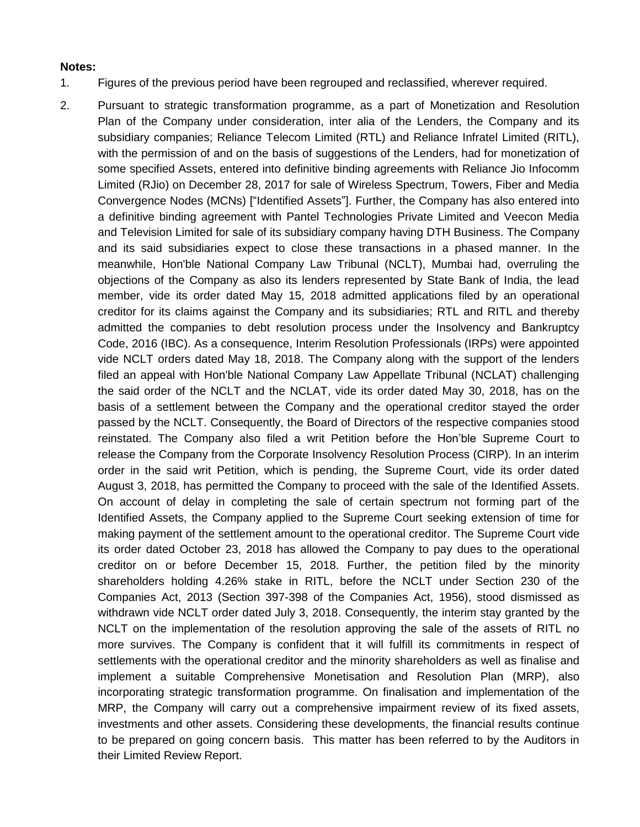## **Notes:**

- 1. Figures of the previous period have been regrouped and reclassified, wherever required.
- 2. Pursuant to strategic transformation programme, as a part of Monetization and Resolution Plan of the Company under consideration, inter alia of the Lenders, the Company and its subsidiary companies; Reliance Telecom Limited (RTL) and Reliance Infratel Limited (RITL), with the permission of and on the basis of suggestions of the Lenders, had for monetization of some specified Assets, entered into definitive binding agreements with Reliance Jio Infocomm Limited (RJio) on December 28, 2017 for sale of Wireless Spectrum, Towers, Fiber and Media Convergence Nodes (MCNs) ["Identified Assets"]. Further, the Company has also entered into a definitive binding agreement with Pantel Technologies Private Limited and Veecon Media and Television Limited for sale of its subsidiary company having DTH Business. The Company and its said subsidiaries expect to close these transactions in a phased manner. In the meanwhile, Hon'ble National Company Law Tribunal (NCLT), Mumbai had, overruling the objections of the Company as also its lenders represented by State Bank of India, the lead member, vide its order dated May 15, 2018 admitted applications filed by an operational creditor for its claims against the Company and its subsidiaries; RTL and RITL and thereby admitted the companies to debt resolution process under the Insolvency and Bankruptcy Code, 2016 (IBC). As a consequence, Interim Resolution Professionals (IRPs) were appointed vide NCLT orders dated May 18, 2018. The Company along with the support of the lenders filed an appeal with Hon'ble National Company Law Appellate Tribunal (NCLAT) challenging the said order of the NCLT and the NCLAT, vide its order dated May 30, 2018, has on the basis of a settlement between the Company and the operational creditor stayed the order passed by the NCLT. Consequently, the Board of Directors of the respective companies stood reinstated. The Company also filed a writ Petition before the Hon"ble Supreme Court to release the Company from the Corporate Insolvency Resolution Process (CIRP). In an interim order in the said writ Petition, which is pending, the Supreme Court, vide its order dated August 3, 2018, has permitted the Company to proceed with the sale of the Identified Assets. On account of delay in completing the sale of certain spectrum not forming part of the Identified Assets, the Company applied to the Supreme Court seeking extension of time for making payment of the settlement amount to the operational creditor. The Supreme Court vide its order dated October 23, 2018 has allowed the Company to pay dues to the operational creditor on or before December 15, 2018. Further, the petition filed by the minority shareholders holding 4.26% stake in RITL, before the NCLT under Section 230 of the Companies Act, 2013 (Section 397-398 of the Companies Act, 1956), stood dismissed as withdrawn vide NCLT order dated July 3, 2018. Consequently, the interim stay granted by the NCLT on the implementation of the resolution approving the sale of the assets of RITL no more survives. The Company is confident that it will fulfill its commitments in respect of settlements with the operational creditor and the minority shareholders as well as finalise and implement a suitable Comprehensive Monetisation and Resolution Plan (MRP), also incorporating strategic transformation programme. On finalisation and implementation of the MRP, the Company will carry out a comprehensive impairment review of its fixed assets, investments and other assets. Considering these developments, the financial results continue to be prepared on going concern basis. This matter has been referred to by the Auditors in their Limited Review Report.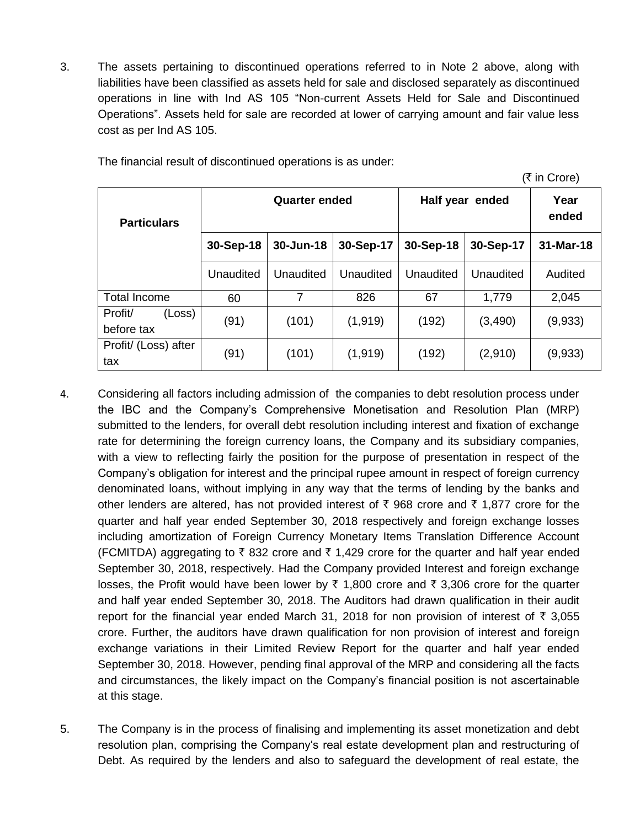3. The assets pertaining to discontinued operations referred to in Note 2 above, along with liabilities have been classified as assets held for sale and disclosed separately as discontinued operations in line with Ind AS 105 "Non-current Assets Held for Sale and Discontinued Operations". Assets held for sale are recorded at lower of carrying amount and fair value less cost as per Ind AS 105.

|                                 |                      |           |           |                 |               | (₹ in Crore) |
|---------------------------------|----------------------|-----------|-----------|-----------------|---------------|--------------|
| <b>Particulars</b>              | <b>Quarter ended</b> |           |           | Half year ended | Year<br>ended |              |
|                                 | 30-Sep-18            | 30-Jun-18 | 30-Sep-17 | 30-Sep-18       | 30-Sep-17     | 31-Mar-18    |
|                                 | Unaudited            | Unaudited | Unaudited | Unaudited       | Unaudited     | Audited      |
| <b>Total Income</b>             | 60                   | 7         | 826       | 67              | 1,779         | 2,045        |
| Profit/<br>(Loss)<br>before tax | (91)                 | (101)     | (1, 919)  | (192)           | (3, 490)      | (9,933)      |
| Profit/ (Loss) after<br>tax     | (91)                 | (101)     | (1, 919)  | (192)           | (2,910)       | (9,933)      |

The financial result of discontinued operations is as under:

- 4. Considering all factors including admission of the companies to debt resolution process under the IBC and the Company"s Comprehensive Monetisation and Resolution Plan (MRP) submitted to the lenders, for overall debt resolution including interest and fixation of exchange rate for determining the foreign currency loans, the Company and its subsidiary companies, with a view to reflecting fairly the position for the purpose of presentation in respect of the Company"s obligation for interest and the principal rupee amount in respect of foreign currency denominated loans, without implying in any way that the terms of lending by the banks and other lenders are altered, has not provided interest of  $\bar{\tau}$  968 crore and  $\bar{\tau}$  1,877 crore for the quarter and half year ended September 30, 2018 respectively and foreign exchange losses including amortization of Foreign Currency Monetary Items Translation Difference Account (FCMITDA) aggregating to  $\bar{\tau}$  832 crore and  $\bar{\tau}$  1,429 crore for the quarter and half year ended September 30, 2018, respectively. Had the Company provided Interest and foreign exchange losses, the Profit would have been lower by  $\bar{\tau}$  1,800 crore and  $\bar{\tau}$  3,306 crore for the quarter and half year ended September 30, 2018. The Auditors had drawn qualification in their audit report for the financial year ended March 31, 2018 for non provision of interest of  $\bar{\tau}$  3,055 crore. Further, the auditors have drawn qualification for non provision of interest and foreign exchange variations in their Limited Review Report for the quarter and half year ended September 30, 2018. However, pending final approval of the MRP and considering all the facts and circumstances, the likely impact on the Company"s financial position is not ascertainable at this stage.
- 5. The Company is in the process of finalising and implementing its asset monetization and debt resolution plan, comprising the Company's real estate development plan and restructuring of Debt. As required by the lenders and also to safeguard the development of real estate, the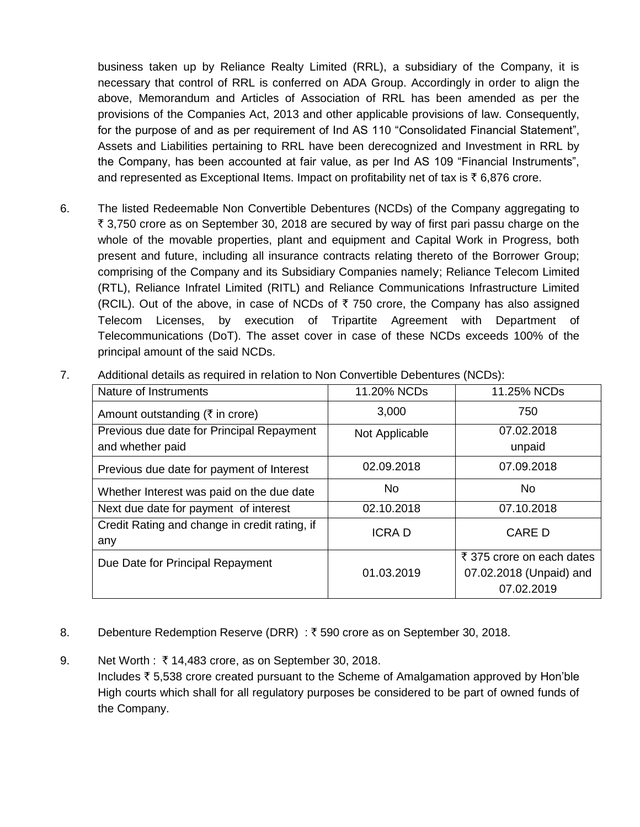business taken up by Reliance Realty Limited (RRL), a subsidiary of the Company, it is necessary that control of RRL is conferred on ADA Group. Accordingly in order to align the above, Memorandum and Articles of Association of RRL has been amended as per the provisions of the Companies Act, 2013 and other applicable provisions of law. Consequently, for the purpose of and as per requirement of Ind AS 110 "Consolidated Financial Statement", Assets and Liabilities pertaining to RRL have been derecognized and Investment in RRL by the Company, has been accounted at fair value, as per Ind AS 109 "Financial Instruments", and represented as Exceptional Items. Impact on profitability net of tax is  $\bar{\tau}$  6,876 crore.

6. The listed Redeemable Non Convertible Debentures (NCDs) of the Company aggregating to ₹ 3,750 crore as on September 30, 2018 are secured by way of first pari passu charge on the whole of the movable properties, plant and equipment and Capital Work in Progress, both present and future, including all insurance contracts relating thereto of the Borrower Group; comprising of the Company and its Subsidiary Companies namely; Reliance Telecom Limited (RTL), Reliance Infratel Limited (RITL) and Reliance Communications Infrastructure Limited (RCIL). Out of the above, in case of NCDs of  $\bar{\tau}$  750 crore, the Company has also assigned Telecom Licenses, by execution of Tripartite Agreement with Department of Telecommunications (DoT). The asset cover in case of these NCDs exceeds 100% of the principal amount of the said NCDs.

| Nature of Instruments                                         | 11.20% NCDs    | 11.25% NCDs                                                        |
|---------------------------------------------------------------|----------------|--------------------------------------------------------------------|
| Amount outstanding ( $\bar{\tau}$ in crore)                   | 3,000          | 750                                                                |
| Previous due date for Principal Repayment<br>and whether paid | Not Applicable | 07.02.2018<br>unpaid                                               |
| Previous due date for payment of Interest                     | 02.09.2018     | 07.09.2018                                                         |
| Whether Interest was paid on the due date                     | No.            | No.                                                                |
| Next due date for payment of interest                         | 02.10.2018     | 07.10.2018                                                         |
| Credit Rating and change in credit rating, if<br>any          | <b>ICRAD</b>   | <b>CARE D</b>                                                      |
| Due Date for Principal Repayment                              | 01.03.2019     | ₹ 375 crore on each dates<br>07.02.2018 (Unpaid) and<br>07.02.2019 |

7. Additional details as required in relation to Non Convertible Debentures (NCDs):

- 8. Debenture Redemption Reserve (DRR) : ₹590 crore as on September 30, 2018.
- 9. Net Worth :  $\bar{\tau}$  14,483 crore, as on September 30, 2018. Includes  $\bar{\tau}$  5,538 crore created pursuant to the Scheme of Amalgamation approved by Hon'ble High courts which shall for all regulatory purposes be considered to be part of owned funds of the Company.